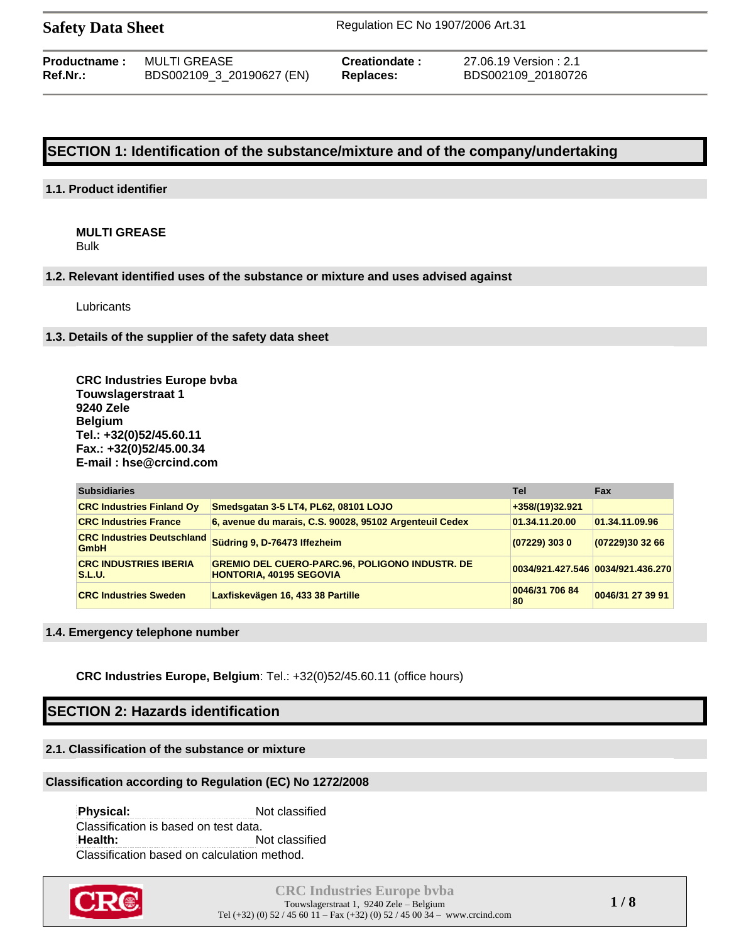| <b>Productname:</b> | MULTI GREASE              | Creationdate: | 27.06.19 Version : 2.1 |
|---------------------|---------------------------|---------------|------------------------|
| Ref.Nr.:            | BDS002109_3_20190627 (EN) | Replaces:     | BDS002109 20180726     |

# **SECTION 1: Identification of the substance/mixture and of the company/undertaking**

## **1.1. Product identifier**

**MULTI GREASE** Bulk

### **1.2. Relevant identified uses of the substance or mixture and uses advised against**

Lubricants

## **1.3. Details of the supplier of the safety data sheet**

**CRC Industries Europe bvba Touwslagerstraat 1 9240 Zele Belgium Tel.: +32(0)52/45.60.11 Fax.: +32(0)52/45.00.34 E-mail : hse@crcind.com**

| <b>Subsidiaries</b>                              |                                                                                         | Tel                               | <b>Fax</b>       |
|--------------------------------------------------|-----------------------------------------------------------------------------------------|-----------------------------------|------------------|
| <b>CRC Industries Finland Ov</b>                 | Smedsgatan 3-5 LT4, PL62, 08101 LOJO                                                    | +358/(19)32.921                   |                  |
| <b>CRC Industries France</b>                     | 6, avenue du marais, C.S. 90028, 95102 Argenteuil Cedex                                 | 01.34.11.20.00                    | 01.34.11.09.96   |
| <b>CRC Industries Deutschland</b><br><b>GmbH</b> | Südring 9, D-76473 Iffezheim                                                            | $(07229)$ 303 0                   | (07229)30 32 66  |
| <b>CRC INDUSTRIES IBERIA</b><br><b>S.L.U.</b>    | <b>GREMIO DEL CUERO-PARC.96, POLIGONO INDUSTR. DE</b><br><b>HONTORIA, 40195 SEGOVIA</b> | 0034/921.427.546 0034/921.436.270 |                  |
| <b>CRC Industries Sweden</b>                     | Laxfiskevägen 16, 433 38 Partille                                                       | 0046/31 706 84<br>80              | 0046/31 27 39 91 |

## **1.4. Emergency telephone number**

**CRC Industries Europe, Belgium**: Tel.: +32(0)52/45.60.11 (office hours)

# **SECTION 2: Hazards identification**

# **2.1. Classification of the substance or mixture**

## **Classification according to Regulation (EC) No 1272/2008**

**Physical:** Not classified Classification is based on test data. **Health:** Not classified Classification based on calculation method.



**CRC Industries Europe bvba** Touwslagerstraat 1, 9240 Zele – Belgium Tel (+32) (0)  $52 / 45$  60  $11 -$  Fax (+32) (0)  $52 / 45$  00  $34 -$  www.crcind.com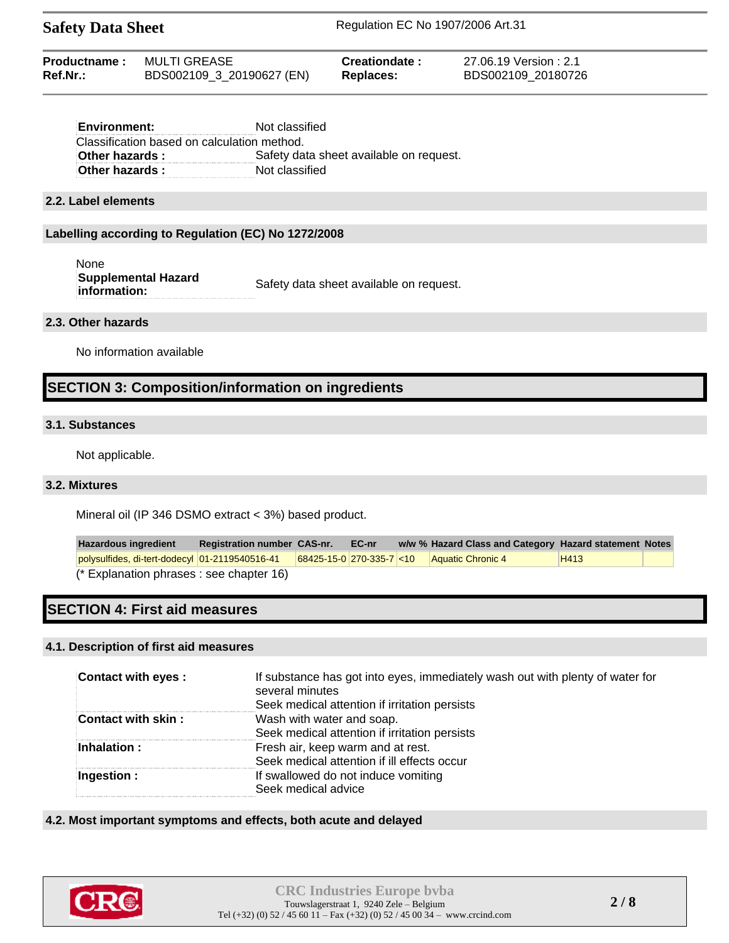| Productname: | MULTI GREASE              | Creationdate: | 27.06.19 Version : 2.1 |
|--------------|---------------------------|---------------|------------------------|
| Ref.Nr.:     | BDS002109_3_20190627 (EN) | Replaces:     | BDS002109 20180726     |

| Not classified                              |
|---------------------------------------------|
| Classification based on calculation method. |
| Safety data sheet available on request.     |
| Not classified                              |
|                                             |

### **2.2. Label elements**

### **Labelling according to Regulation (EC) No 1272/2008**

| None                              |                                         |
|-----------------------------------|-----------------------------------------|
| Supplemental Hazard               | Safety data sheet available on request. |
| $\mathop{\mathsf{information}}$ : |                                         |

## **2.3. Other hazards**

No information available

# **SECTION 3: Composition/information on ingredients**

## **3.1. Substances**

Not applicable.

## **3.2. Mixtures**

Mineral oil (IP 346 DSMO extract < 3%) based product.

**Hazardous ingredient Registration number CAS-nr. EC-nr w/w % Hazard Class and Category Hazard statement Notes** polysulfides, di-tert-dodecyl 01-2119540516-41 68425-15-0 270-335-7 <10 Aquatic Chronic 4 H413 (\* Explanation phrases : see chapter 16)

# **SECTION 4: First aid measures**

## **4.1. Description of first aid measures**

| <b>Contact with eyes:</b> | If substance has got into eyes, immediately wash out with plenty of water for<br>several minutes<br>Seek medical attention if irritation persists |
|---------------------------|---------------------------------------------------------------------------------------------------------------------------------------------------|
| Contact with skin:        | Wash with water and soap.<br>Seek medical attention if irritation persists                                                                        |
| Inhalation:               | Fresh air, keep warm and at rest.<br>Seek medical attention if ill effects occur                                                                  |
| Ingestion :               | If swallowed do not induce vomiting<br>Seek medical advice                                                                                        |

## **4.2. Most important symptoms and effects, both acute and delayed**

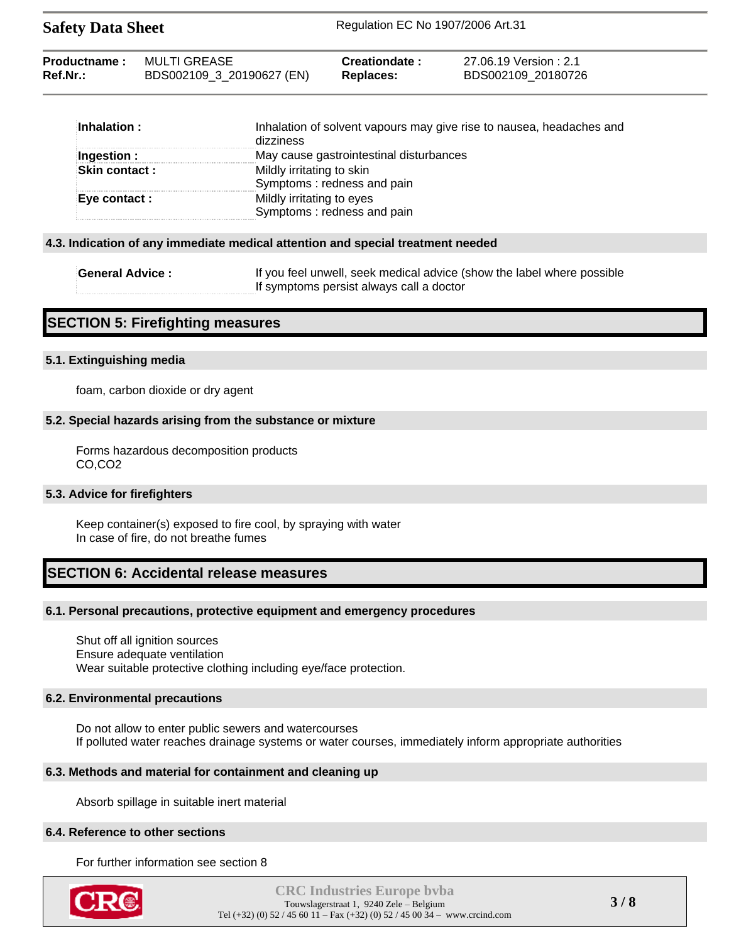| MULTI GREASE<br><b>Productname:</b><br>Creationdate:<br>Ref.Nr.:<br>BDS002109_3_20190627 (EN)<br>Replaces: | 27.06.19 Version : 2.1<br>BDS002109 20180726 |
|------------------------------------------------------------------------------------------------------------|----------------------------------------------|
|------------------------------------------------------------------------------------------------------------|----------------------------------------------|

| $\blacksquare$ Inhalation : | Inhalation of solvent vapours may give rise to nausea, headaches and<br>dizziness |
|-----------------------------|-----------------------------------------------------------------------------------|
| Ingestion :                 | May cause gastrointestinal disturbances                                           |
| <b>Skin contact :</b>       | Mildly irritating to skin                                                         |
|                             | Symptoms: redness and pain                                                        |
| Eye contact :               | Mildly irritating to eyes                                                         |
|                             | Symptoms: redness and pain                                                        |

## **4.3. Indication of any immediate medical attention and special treatment needed**

| <b>General Advice:</b> | If you feel unwell, seek medical advice (show the label where possible |
|------------------------|------------------------------------------------------------------------|
|                        | If symptoms persist always call a doctor                               |

# **SECTION 5: Firefighting measures**

## **5.1. Extinguishing media**

foam, carbon dioxide or dry agent

## **5.2. Special hazards arising from the substance or mixture**

Forms hazardous decomposition products CO,CO2

# **5.3. Advice for firefighters**

Keep container(s) exposed to fire cool, by spraying with water In case of fire, do not breathe fumes

# **SECTION 6: Accidental release measures**

## **6.1. Personal precautions, protective equipment and emergency procedures**

Shut off all ignition sources Ensure adequate ventilation Wear suitable protective clothing including eye/face protection.

## **6.2. Environmental precautions**

Do not allow to enter public sewers and watercourses If polluted water reaches drainage systems or water courses, immediately inform appropriate authorities

# **6.3. Methods and material for containment and cleaning up**

Absorb spillage in suitable inert material

## **6.4. Reference to other sections**

For further information see section 8

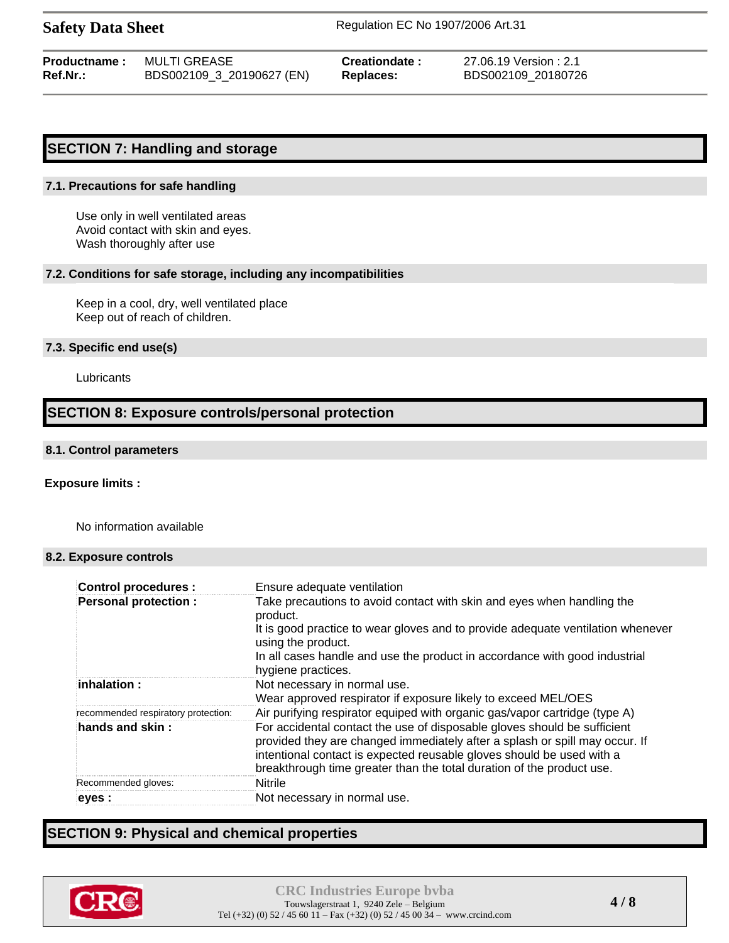|          | <b>Productname: MULTI GREASE</b> | Creationdate: | 27.06.19 Version : 2.1 |
|----------|----------------------------------|---------------|------------------------|
| Ref.Nr.: | BDS002109_3_20190627 (EN)        | Replaces:     | BDS002109 20180726     |

## **SECTION 7: Handling and storage**

#### **7.1. Precautions for safe handling**

Use only in well ventilated areas Avoid contact with skin and eyes. Wash thoroughly after use

#### **7.2. Conditions for safe storage, including any incompatibilities**

Keep in a cool, dry, well ventilated place Keep out of reach of children.

## **7.3. Specific end use(s)**

**Lubricants** 

# **SECTION 8: Exposure controls/personal protection**

#### **8.1. Control parameters**

### **Exposure limits :**

No information available

#### **8.2. Exposure controls**

| <b>Control procedures:</b>          | Ensure adequate ventilation                                                                                                                                                                                                                                                                               |
|-------------------------------------|-----------------------------------------------------------------------------------------------------------------------------------------------------------------------------------------------------------------------------------------------------------------------------------------------------------|
| <b>Personal protection:</b>         | Take precautions to avoid contact with skin and eyes when handling the<br>product.<br>It is good practice to wear gloves and to provide adequate ventilation whenever<br>using the product.<br>In all cases handle and use the product in accordance with good industrial                                 |
|                                     | hygiene practices.                                                                                                                                                                                                                                                                                        |
| : inhalation:                       | Not necessary in normal use.<br>Wear approved respirator if exposure likely to exceed MEL/OES                                                                                                                                                                                                             |
| recommended respiratory protection: | Air purifying respirator equiped with organic gas/vapor cartridge (type A)                                                                                                                                                                                                                                |
| hands and skin:                     | For accidental contact the use of disposable gloves should be sufficient<br>provided they are changed immediately after a splash or spill may occur. If<br>intentional contact is expected reusable gloves should be used with a<br>breakthrough time greater than the total duration of the product use. |
| Recommended gloves:                 | <b>Nitrile</b>                                                                                                                                                                                                                                                                                            |
| eyes :                              | Not necessary in normal use.                                                                                                                                                                                                                                                                              |

# **SECTION 9: Physical and chemical properties**

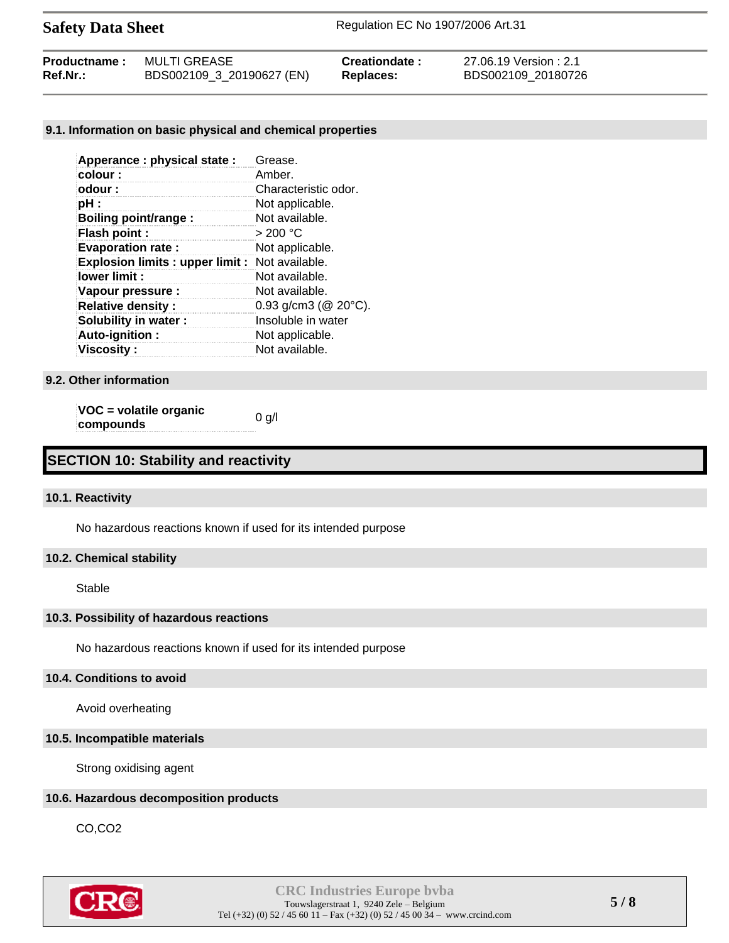| Productname: | MULTI GREASE              | <b>Creationdate</b> | 27.06.19 Version : 2.1 |
|--------------|---------------------------|---------------------|------------------------|
| Ref.Nr.:     | BDS002109_3_20190627 (EN) | Replaces:           | BDS002109 20180726     |

## **9.1. Information on basic physical and chemical properties**

| Apperance: physical state:                           | Grease.                     |
|------------------------------------------------------|-----------------------------|
| colour:                                              | Amber.                      |
| odour:                                               | Characteristic odor.        |
| pH :                                                 | Not applicable.             |
| Boiling point/range:                                 | Not available.              |
| Flash point :                                        | >200 °C                     |
| <b>Evaporation rate:</b>                             | Not applicable.             |
| <b>Explosion limits: upper limit: Not available.</b> |                             |
| lower limit:                                         | Not available.              |
| Vapour pressure :                                    | Not available.              |
| <b>Relative density:</b>                             | 0.93 g/cm3 ( $@$ 20 $°C$ ). |
| Solubility in water:                                 | Insoluble in water          |
| Auto-ignition:                                       | Not applicable.             |
| <b>Viscosity :</b>                                   | Not available.              |

## **9.2. Other information**

**VOC = volatile organic**   $\mathbf{v}\mathbf{c} = \mathbf{v}$  via the original compounds  $\mathbf{0}$  g/l

# **SECTION 10: Stability and reactivity**

## **10.1. Reactivity**

No hazardous reactions known if used for its intended purpose

## **10.2. Chemical stability**

Stable

## **10.3. Possibility of hazardous reactions**

No hazardous reactions known if used for its intended purpose

## **10.4. Conditions to avoid**

Avoid overheating

## **10.5. Incompatible materials**

Strong oxidising agent

## **10.6. Hazardous decomposition products**

CO,CO2

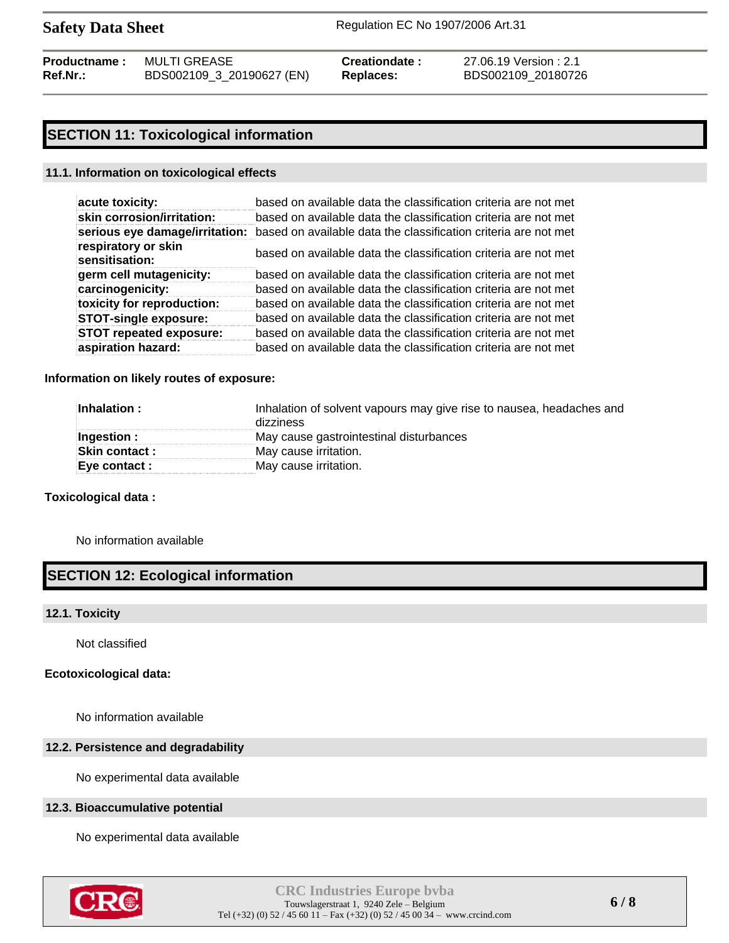| <b>Productname:</b> | MULTI GREASE              | Creationdate: | 27.06.19 |
|---------------------|---------------------------|---------------|----------|
| Ref.Nr.:            | BDS002109_3_20190627 (EN) | Replaces:     | BDS0021  |

**Pression : 2.1 Ref.Nr.:** BDS002109\_3\_20190627 (EN) **Replaces:** BDS002109\_20180726

# **SECTION 11: Toxicological information**

### **11.1. Information on toxicological effects**

| acute toxicity:                       | based on available data the classification criteria are not met |
|---------------------------------------|-----------------------------------------------------------------|
| skin corrosion/irritation:            | based on available data the classification criteria are not met |
| serious eye damage/irritation:        | based on available data the classification criteria are not met |
| respiratory or skin<br>sensitisation: | based on available data the classification criteria are not met |
| germ cell mutagenicity:               | based on available data the classification criteria are not met |
| carcinogenicity:                      | based on available data the classification criteria are not met |
| toxicity for reproduction:            | based on available data the classification criteria are not met |
| <b>STOT-single exposure:</b>          | based on available data the classification criteria are not met |
| <b>STOT repeated exposure:</b>        | based on available data the classification criteria are not met |
| aspiration hazard:                    | based on available data the classification criteria are not met |

### **Information on likely routes of exposure:**

| Inhalation :         | Inhalation of solvent vapours may give rise to nausea, headaches and<br>dizziness |  |
|----------------------|-----------------------------------------------------------------------------------|--|
| Ingestion:           | May cause gastrointestinal disturbances                                           |  |
| <b>Skin contact:</b> | May cause irritation.                                                             |  |
| Eye contact :        | May cause irritation.                                                             |  |

## **Toxicological data :**

No information available

# **SECTION 12: Ecological information**

### **12.1. Toxicity**

Not classified

### **Ecotoxicological data:**

No information available

## **12.2. Persistence and degradability**

No experimental data available

## **12.3. Bioaccumulative potential**

No experimental data available

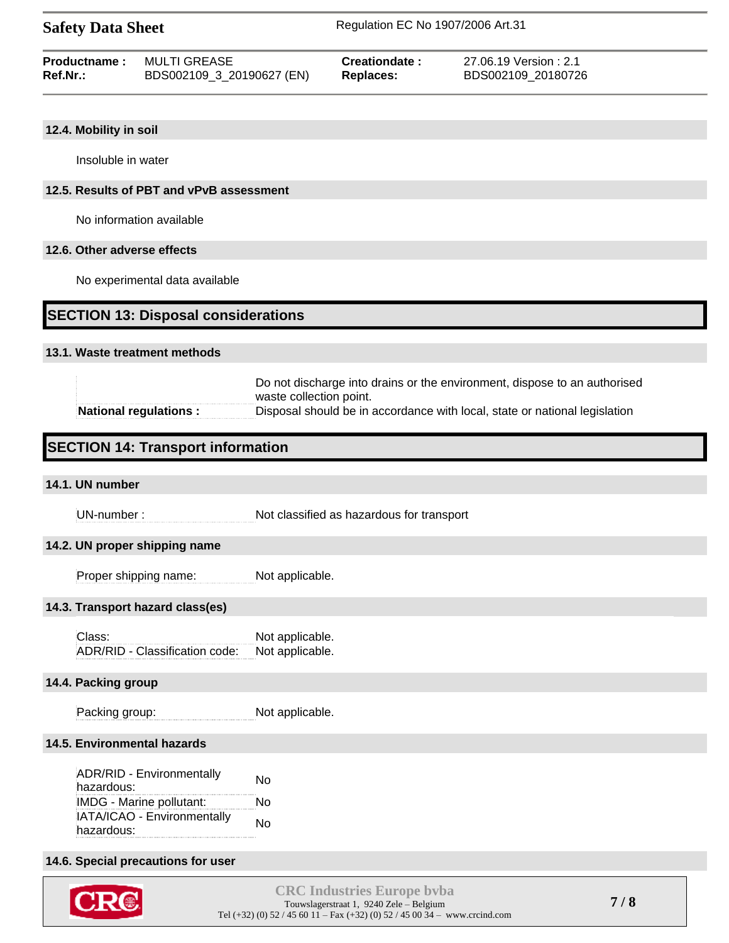| Productname: | MULTI GREASE              | Creationdate: | 27.06.19 Version : 2.1 |
|--------------|---------------------------|---------------|------------------------|
| $Ref.Nr.$ :  | BDS002109_3_20190627 (EN) | Replaces:     | BDS002109 20180726     |

## **12.4. Mobility in soil**

Insoluble in water

## **12.5. Results of PBT and vPvB assessment**

No information available

## **12.6. Other adverse effects**

No experimental data available

## **SECTION 13: Disposal considerations**

#### **13.1. Waste treatment methods**

|                              | Do not discharge into drains or the environment, dispose to an authorised  |  |
|------------------------------|----------------------------------------------------------------------------|--|
|                              | waste collection point.                                                    |  |
| <b>National regulations:</b> | Disposal should be in accordance with local, state or national legislation |  |

# **SECTION 14: Transport information**

## **14.1. UN number**

UN-number : Not classified as hazardous for transport

### **14.2. UN proper shipping name**

Proper shipping name: Not applicable.

### **14.3. Transport hazard class(es)**

Class: Not applicable. ADR/RID - Classification code: Not applicable.

### **14.4. Packing group**

Packing group: Not applicable.

## **14.5. Environmental hazards**

| ADR/RID - Environmentally<br>hazardous: | No |
|-----------------------------------------|----|
| IMDG - Marine pollutant:                | N٥ |
| IATA/ICAO - Environmentally             | No |
| hazardous:                              |    |

## **14.6. Special precautions for user**